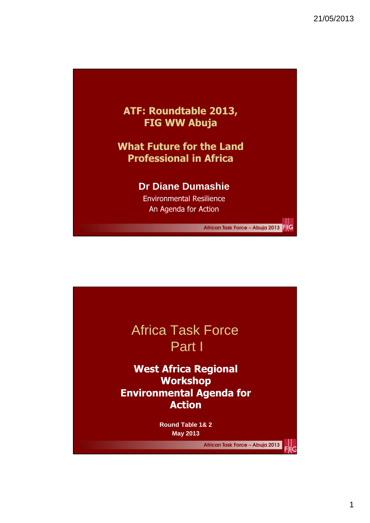



1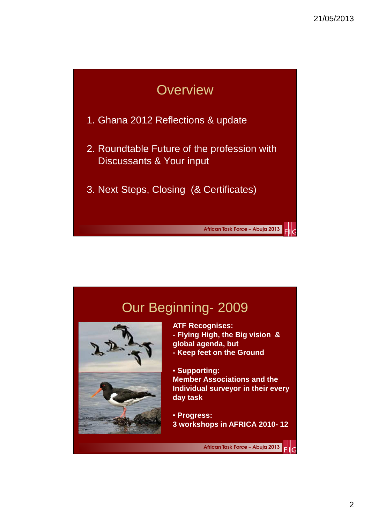

# Our Beginning- 2009



**ATF Recognises: - Flying High, the Big vision & global agenda, but - Keep feet on the Ground** 

• **Supporting: Member Associations and the Individual surveyor in their every day task** 

• **Progress: 3 workshops in AFRICA 2010- 12**

African Task Force – Abuja 2013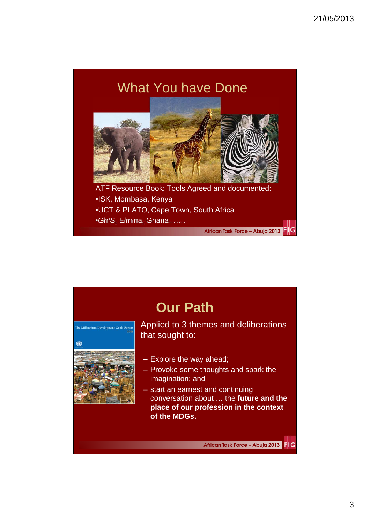

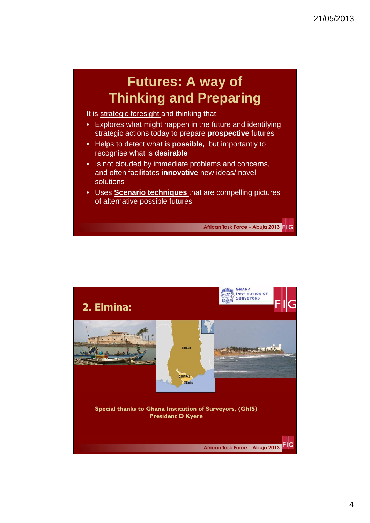## **Futures: A way of Thinking and Preparing**

It is strategic foresight and thinking that:

- Explores what might happen in the future and identifying strategic actions today to prepare **prospective** futures
- Helps to detect what is **possible,** but importantly to recognise what is **desirable**
- Is not clouded by immediate problems and concerns, and often facilitates **innovative** new ideas/ novel solutions
- Uses **Scenario techniques** that are compelling pictures of alternative possible futures

African Task Force – Abuja 2013 FIG

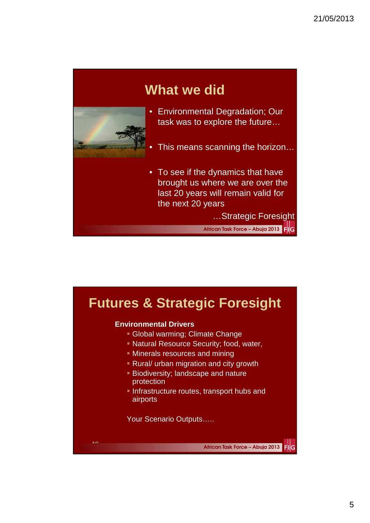## **What we did**



- Environmental Degradation; Our task was to explore the future…
- This means scanning the horizon...
- To see if the dynamics that have brought us where we are over the last 20 years will remain valid for the next 20 years

…Strategic Foresight

African Task Force – Abuja 2013

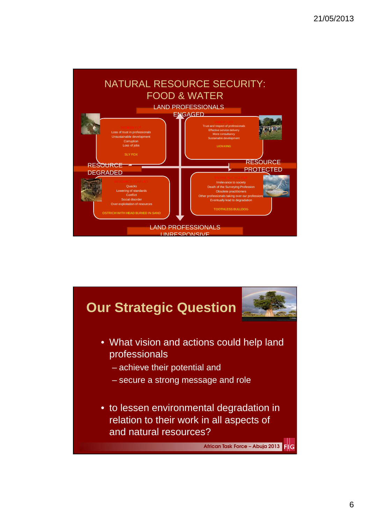

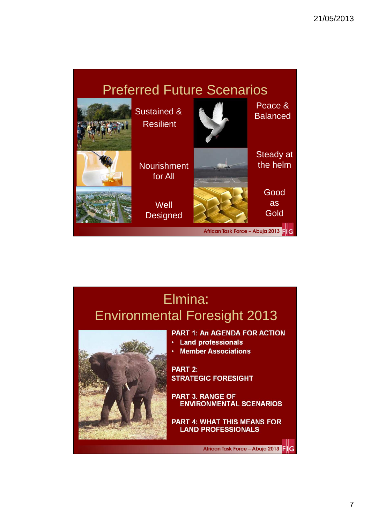#### Preferred Future Scenarios African Task Force – Abuja 2013 FIG Peace & **Balanced** Steady at the helm **Well Designed** Sustained & **Resilient Nourishment** for All Good as **Gold**

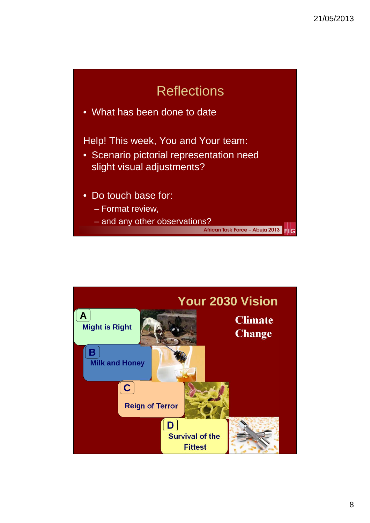



8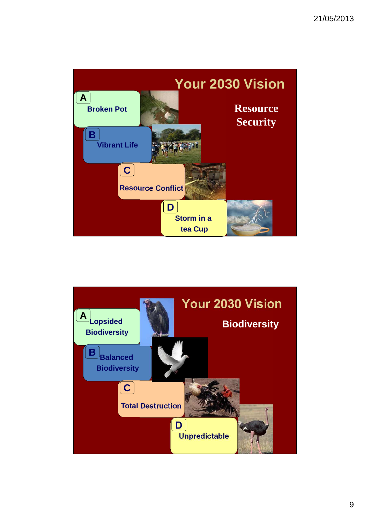

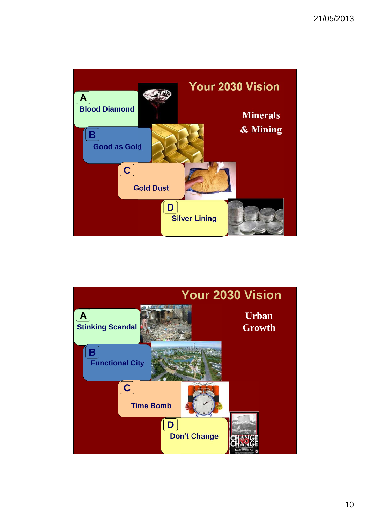

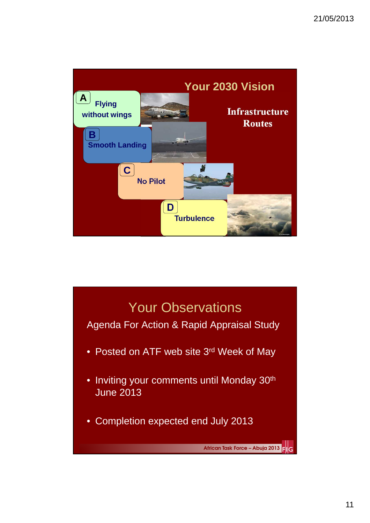